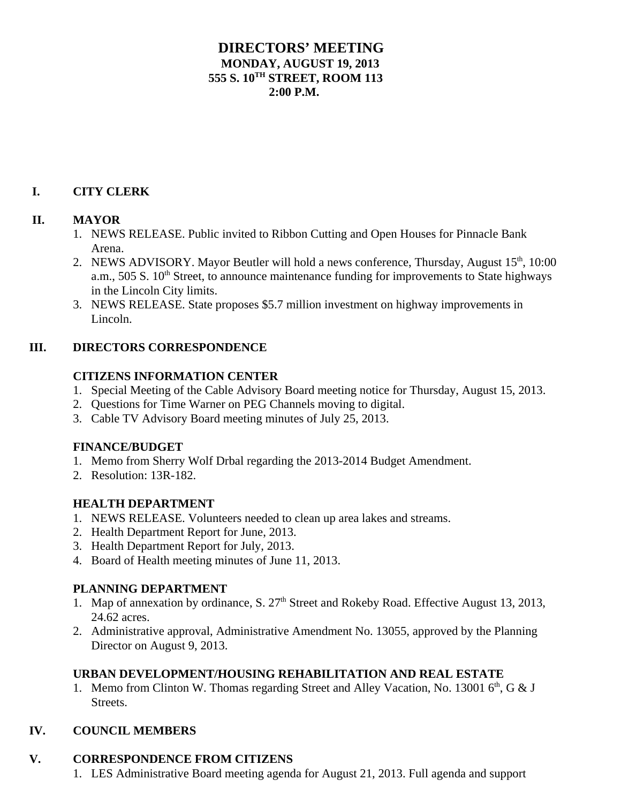# **DIRECTORS' MEETING MONDAY, AUGUST 19, 2013 555 S. 10TH STREET, ROOM 113**  $2:00 \text{ P M}$

#### **I. CITY CLERK**

#### **II. MAYOR**

- 1. NEWS RELEASE. Public invited to Ribbon Cutting and Open Houses for Pinnacle Bank Arena.
- 2. NEWS ADVISORY. Mayor Beutler will hold a news conference, Thursday, August 15<sup>th</sup>, 10:00 a.m.,  $505 S$ .  $10<sup>th</sup>$  Street, to announce maintenance funding for improvements to State highways in the Lincoln City limits.
- 3. NEWS RELEASE. State proposes \$5.7 million investment on highway improvements in Lincoln.

# **III. DIRECTORS CORRESPONDENCE**

#### **CITIZENS INFORMATION CENTER**

- 1. Special Meeting of the Cable Advisory Board meeting notice for Thursday, August 15, 2013.
- 2. Questions for Time Warner on PEG Channels moving to digital.
- 3. Cable TV Advisory Board meeting minutes of July 25, 2013.

# **FINANCE/BUDGET**

- 1. Memo from Sherry Wolf Drbal regarding the 2013-2014 Budget Amendment.
- 2. Resolution: 13R-182.

# **HEALTH DEPARTMENT**

- 1. NEWS RELEASE. Volunteers needed to clean up area lakes and streams.
- 2. Health Department Report for June, 2013.
- 3. Health Department Report for July, 2013.
- 4. Board of Health meeting minutes of June 11, 2013.

#### **PLANNING DEPARTMENT**

- 1. Map of annexation by ordinance, S.  $27<sup>th</sup>$  Street and Rokeby Road. Effective August 13, 2013, 24.62 acres.
- 2. Administrative approval, Administrative Amendment No. 13055, approved by the Planning Director on August 9, 2013.

# **URBAN DEVELOPMENT/HOUSING REHABILITATION AND REAL ESTATE**

1. Memo from Clinton W. Thomas regarding Street and Alley Vacation, No. 13001 6<sup>th</sup>, G & J Streets.

# **IV. COUNCIL MEMBERS**

#### **V. CORRESPONDENCE FROM CITIZENS**

1. LES Administrative Board meeting agenda for August 21, 2013. Full agenda and support